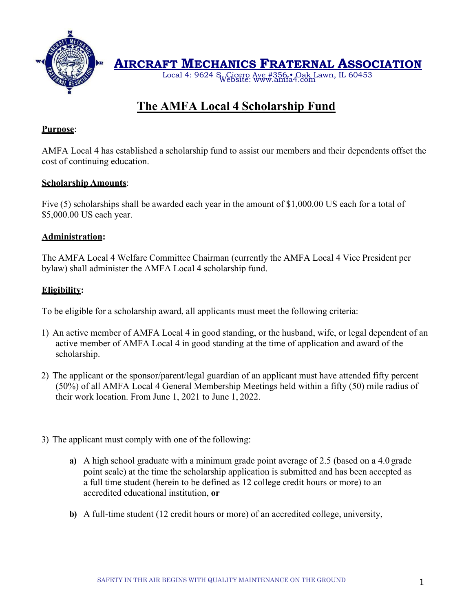

Local 4:  $9624 S_{W \text{e}h}$  Cicero Ave #356 • Oak Lawn, IL 60453

# **The AMFA Local 4 Scholarship Fund**

## **Purpose**:

AMFA Local 4 has established a scholarship fund to assist our members and their dependents offset the cost of continuing education.

## **Scholarship Amounts**:

Five (5) scholarships shall be awarded each year in the amount of \$1,000.00 US each for a total of \$5,000.00 US each year.

## **Administration:**

The AMFA Local 4 Welfare Committee Chairman (currently the AMFA Local 4 Vice President per bylaw) shall administer the AMFA Local 4 scholarship fund.

## **Eligibility:**

To be eligible for a scholarship award, all applicants must meet the following criteria:

- 1) An active member of AMFA Local 4 in good standing, or the husband, wife, or legal dependent of an active member of AMFA Local 4 in good standing at the time of application and award of the scholarship.
- 2) The applicant or the sponsor/parent/legal guardian of an applicant must have attended fifty percent (50%) of all AMFA Local 4 General Membership Meetings held within a fifty (50) mile radius of their work location. From June 1, 2021 to June 1, 2022.
- 3) The applicant must comply with one of the following:
	- **a)** A high school graduate with a minimum grade point average of 2.5 (based on a 4.0 grade point scale) at the time the scholarship application is submitted and has been accepted as a full time student (herein to be defined as 12 college credit hours or more) to an accredited educational institution, **or**
	- **b)** A full-time student (12 credit hours or more) of an accredited college, university,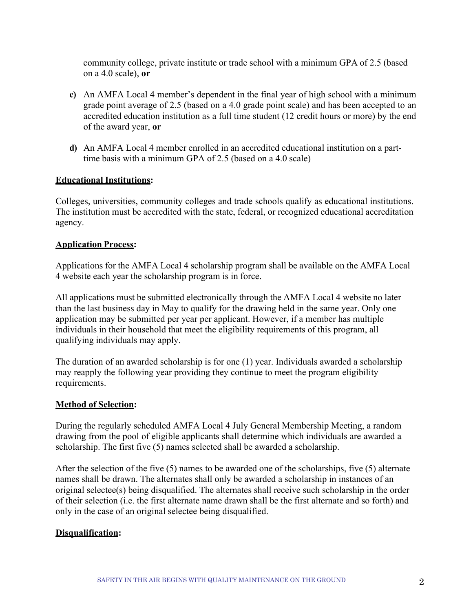community college, private institute or trade school with a minimum GPA of 2.5 (based on a 4.0 scale), **or** 

- **c)** An AMFA Local 4 member's dependent in the final year of high school with a minimum grade point average of 2.5 (based on a 4.0 grade point scale) and has been accepted to an accredited education institution as a full time student (12 credit hours or more) by the end of the award year, **or**
- **d)** An AMFA Local 4 member enrolled in an accredited educational institution on a parttime basis with a minimum GPA of 2.5 (based on a 4.0 scale)

#### **Educational Institutions:**

Colleges, universities, community colleges and trade schools qualify as educational institutions. The institution must be accredited with the state, federal, or recognized educational accreditation agency.

#### **Application Process:**

Applications for the AMFA Local 4 scholarship program shall be available on the AMFA Local 4 website each year the scholarship program is in force.

All applications must be submitted electronically through the AMFA Local 4 website no later than the last business day in May to qualify for the drawing held in the same year. Only one application may be submitted per year per applicant. However, if a member has multiple individuals in their household that meet the eligibility requirements of this program, all qualifying individuals may apply.

The duration of an awarded scholarship is for one (1) year. Individuals awarded a scholarship may reapply the following year providing they continue to meet the program eligibility requirements.

### **Method of Selection:**

During the regularly scheduled AMFA Local 4 July General Membership Meeting, a random drawing from the pool of eligible applicants shall determine which individuals are awarded a scholarship. The first five (5) names selected shall be awarded a scholarship.

After the selection of the five (5) names to be awarded one of the scholarships, five (5) alternate names shall be drawn. The alternates shall only be awarded a scholarship in instances of an original selectee(s) being disqualified. The alternates shall receive such scholarship in the order of their selection (i.e. the first alternate name drawn shall be the first alternate and so forth) and only in the case of an original selectee being disqualified.

#### **Disqualification:**